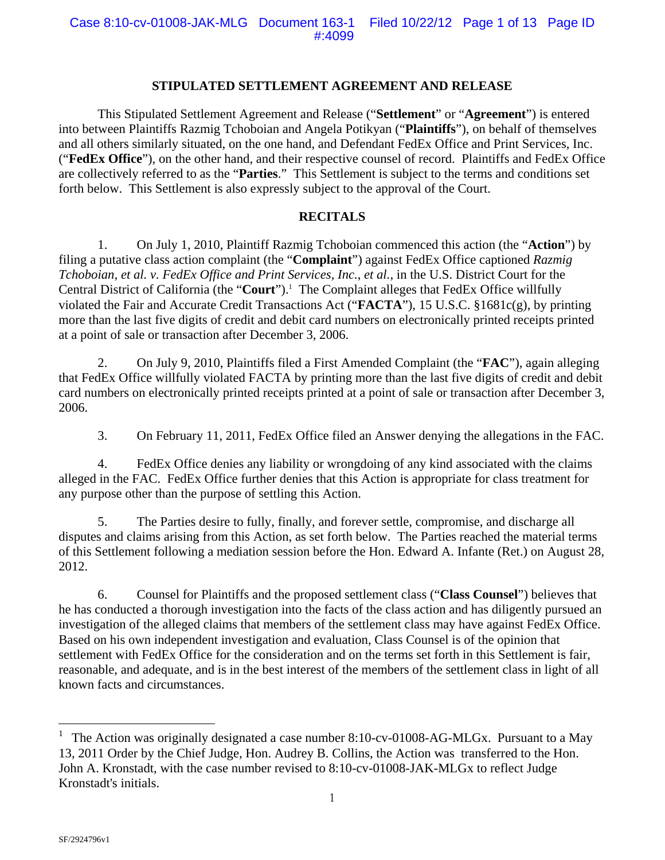## **STIPULATED SETTLEMENT AGREEMENT AND RELEASE**

 This Stipulated Settlement Agreement and Release ("**Settlement**" or "**Agreement**") is entered into between Plaintiffs Razmig Tchoboian and Angela Potikyan ("**Plaintiffs**"), on behalf of themselves and all others similarly situated, on the one hand, and Defendant FedEx Office and Print Services, Inc. ("**FedEx Office**"), on the other hand, and their respective counsel of record. Plaintiffs and FedEx Office are collectively referred to as the "**Parties**." This Settlement is subject to the terms and conditions set forth below. This Settlement is also expressly subject to the approval of the Court.

## **RECITALS**

1. On July 1, 2010, Plaintiff Razmig Tchoboian commenced this action (the "**Action**") by filing a putative class action complaint (the "**Complaint**") against FedEx Office captioned *Razmig Tchoboian, et al. v. FedEx Office and Print Services, Inc.*, *et al.*, in the U.S. District Court for the Central District of California (the "Court").<sup>1</sup> The Complaint alleges that FedEx Office willfully violated the Fair and Accurate Credit Transactions Act ("**FACTA**"), 15 U.S.C. §1681c(g), by printing more than the last five digits of credit and debit card numbers on electronically printed receipts printed at a point of sale or transaction after December 3, 2006.

2. On July 9, 2010, Plaintiffs filed a First Amended Complaint (the "**FAC**"), again alleging that FedEx Office willfully violated FACTA by printing more than the last five digits of credit and debit card numbers on electronically printed receipts printed at a point of sale or transaction after December 3, 2006.

3. On February 11, 2011, FedEx Office filed an Answer denying the allegations in the FAC.

4. FedEx Office denies any liability or wrongdoing of any kind associated with the claims alleged in the FAC. FedEx Office further denies that this Action is appropriate for class treatment for any purpose other than the purpose of settling this Action.

5. The Parties desire to fully, finally, and forever settle, compromise, and discharge all disputes and claims arising from this Action, as set forth below. The Parties reached the material terms of this Settlement following a mediation session before the Hon. Edward A. Infante (Ret.) on August 28, 2012.

6. Counsel for Plaintiffs and the proposed settlement class ("**Class Counsel**") believes that he has conducted a thorough investigation into the facts of the class action and has diligently pursued an investigation of the alleged claims that members of the settlement class may have against FedEx Office. Based on his own independent investigation and evaluation, Class Counsel is of the opinion that settlement with FedEx Office for the consideration and on the terms set forth in this Settlement is fair, reasonable, and adequate, and is in the best interest of the members of the settlement class in light of all known facts and circumstances.

 $\overline{a}$ 

The Action was originally designated a case number 8:10-cv-01008-AG-MLGx. Pursuant to a May 13, 2011 Order by the Chief Judge, Hon. Audrey B. Collins, the Action was transferred to the Hon. John A. Kronstadt, with the case number revised to 8:10-cv-01008-JAK-MLGx to reflect Judge Kronstadt's initials.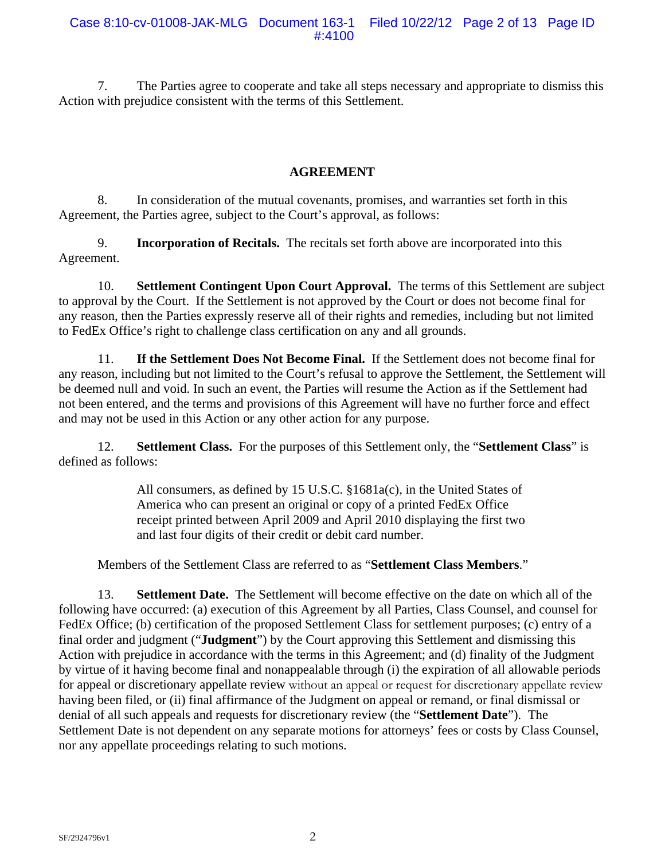7. The Parties agree to cooperate and take all steps necessary and appropriate to dismiss this Action with prejudice consistent with the terms of this Settlement.

# **AGREEMENT**

8. In consideration of the mutual covenants, promises, and warranties set forth in this Agreement, the Parties agree, subject to the Court's approval, as follows:

9. **Incorporation of Recitals.** The recitals set forth above are incorporated into this Agreement.

10. **Settlement Contingent Upon Court Approval.** The terms of this Settlement are subject to approval by the Court. If the Settlement is not approved by the Court or does not become final for any reason, then the Parties expressly reserve all of their rights and remedies, including but not limited to FedEx Office's right to challenge class certification on any and all grounds.

11. **If the Settlement Does Not Become Final.** If the Settlement does not become final for any reason, including but not limited to the Court's refusal to approve the Settlement, the Settlement will be deemed null and void. In such an event, the Parties will resume the Action as if the Settlement had not been entered, and the terms and provisions of this Agreement will have no further force and effect and may not be used in this Action or any other action for any purpose.

12. **Settlement Class.** For the purposes of this Settlement only, the "**Settlement Class**" is defined as follows:

> All consumers, as defined by 15 U.S.C. §1681a(c), in the United States of America who can present an original or copy of a printed FedEx Office receipt printed between April 2009 and April 2010 displaying the first two and last four digits of their credit or debit card number.

Members of the Settlement Class are referred to as "**Settlement Class Members**."

13. **Settlement Date.** The Settlement will become effective on the date on which all of the following have occurred: (a) execution of this Agreement by all Parties, Class Counsel, and counsel for FedEx Office; (b) certification of the proposed Settlement Class for settlement purposes; (c) entry of a final order and judgment ("**Judgment**") by the Court approving this Settlement and dismissing this Action with prejudice in accordance with the terms in this Agreement; and (d) finality of the Judgment by virtue of it having become final and nonappealable through (i) the expiration of all allowable periods for appeal or discretionary appellate review without an appeal or request for discretionary appellate review having been filed, or (ii) final affirmance of the Judgment on appeal or remand, or final dismissal or denial of all such appeals and requests for discretionary review (the "**Settlement Date**"). The Settlement Date is not dependent on any separate motions for attorneys' fees or costs by Class Counsel, nor any appellate proceedings relating to such motions.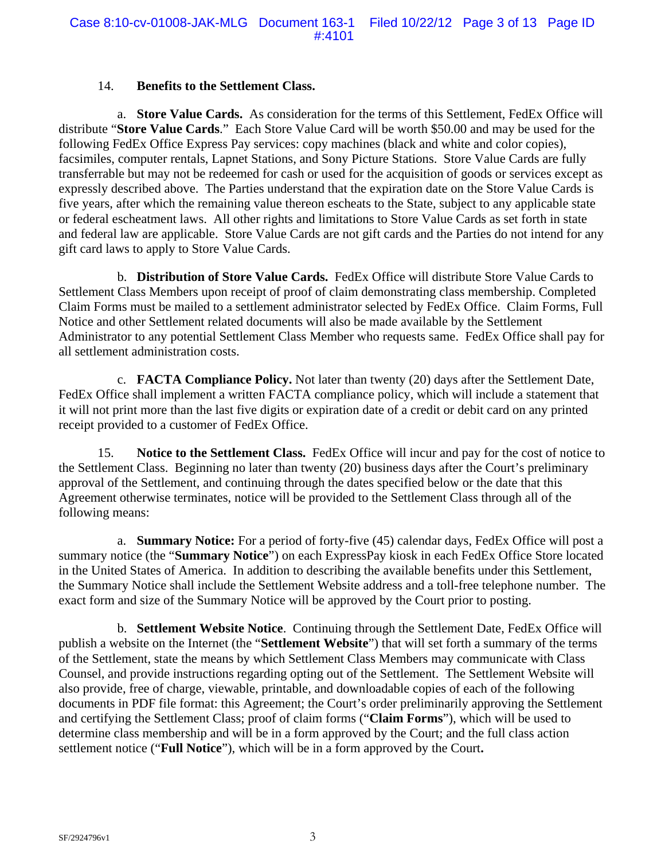## 14. **Benefits to the Settlement Class.**

a. **Store Value Cards.** As consideration for the terms of this Settlement, FedEx Office will distribute "**Store Value Cards**." Each Store Value Card will be worth \$50.00 and may be used for the following FedEx Office Express Pay services: copy machines (black and white and color copies), facsimiles, computer rentals, Lapnet Stations, and Sony Picture Stations. Store Value Cards are fully transferrable but may not be redeemed for cash or used for the acquisition of goods or services except as expressly described above. The Parties understand that the expiration date on the Store Value Cards is five years, after which the remaining value thereon escheats to the State, subject to any applicable state or federal escheatment laws. All other rights and limitations to Store Value Cards as set forth in state and federal law are applicable. Store Value Cards are not gift cards and the Parties do not intend for any gift card laws to apply to Store Value Cards.

b. **Distribution of Store Value Cards.** FedEx Office will distribute Store Value Cards to Settlement Class Members upon receipt of proof of claim demonstrating class membership. Completed Claim Forms must be mailed to a settlement administrator selected by FedEx Office. Claim Forms, Full Notice and other Settlement related documents will also be made available by the Settlement Administrator to any potential Settlement Class Member who requests same. FedEx Office shall pay for all settlement administration costs.

c. **FACTA Compliance Policy.** Not later than twenty (20) days after the Settlement Date, FedEx Office shall implement a written FACTA compliance policy, which will include a statement that it will not print more than the last five digits or expiration date of a credit or debit card on any printed receipt provided to a customer of FedEx Office.

15. **Notice to the Settlement Class.** FedEx Office will incur and pay for the cost of notice to the Settlement Class. Beginning no later than twenty (20) business days after the Court's preliminary approval of the Settlement, and continuing through the dates specified below or the date that this Agreement otherwise terminates, notice will be provided to the Settlement Class through all of the following means:

a. **Summary Notice:** For a period of forty-five (45) calendar days, FedEx Office will post a summary notice (the "**Summary Notice**") on each ExpressPay kiosk in each FedEx Office Store located in the United States of America. In addition to describing the available benefits under this Settlement, the Summary Notice shall include the Settlement Website address and a toll-free telephone number. The exact form and size of the Summary Notice will be approved by the Court prior to posting.

b. **Settlement Website Notice**. Continuing through the Settlement Date, FedEx Office will publish a website on the Internet (the "**Settlement Website**") that will set forth a summary of the terms of the Settlement, state the means by which Settlement Class Members may communicate with Class Counsel, and provide instructions regarding opting out of the Settlement. The Settlement Website will also provide, free of charge, viewable, printable, and downloadable copies of each of the following documents in PDF file format: this Agreement; the Court's order preliminarily approving the Settlement and certifying the Settlement Class; proof of claim forms ("**Claim Forms**"), which will be used to determine class membership and will be in a form approved by the Court; and the full class action settlement notice ("**Full Notice**"), which will be in a form approved by the Court**.**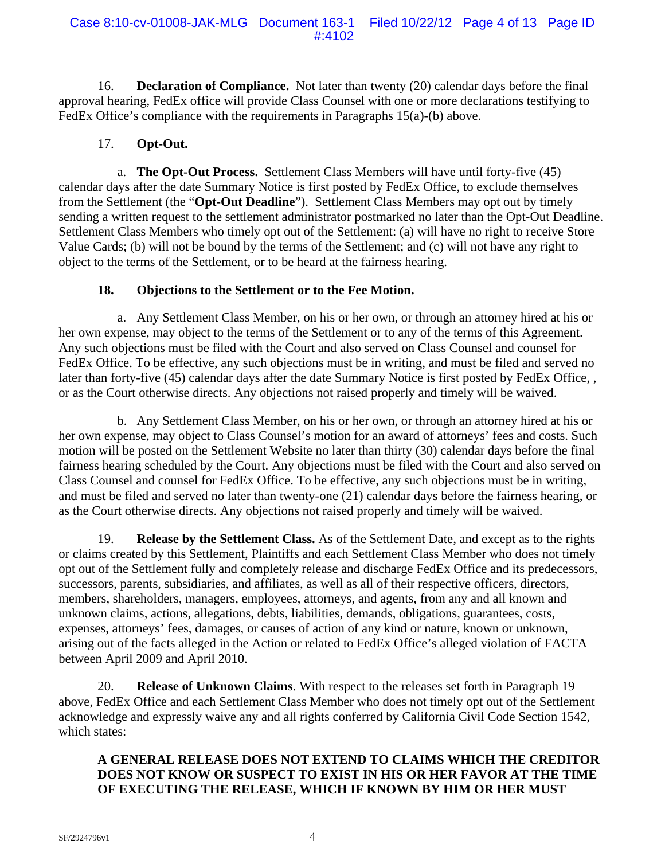16. **Declaration of Compliance.** Not later than twenty (20) calendar days before the final approval hearing, FedEx office will provide Class Counsel with one or more declarations testifying to FedEx Office's compliance with the requirements in Paragraphs 15(a)-(b) above.

# 17. **Opt-Out.**

a. **The Opt-Out Process.** Settlement Class Members will have until forty-five (45) calendar days after the date Summary Notice is first posted by FedEx Office, to exclude themselves from the Settlement (the "**Opt-Out Deadline**"). Settlement Class Members may opt out by timely sending a written request to the settlement administrator postmarked no later than the Opt-Out Deadline. Settlement Class Members who timely opt out of the Settlement: (a) will have no right to receive Store Value Cards; (b) will not be bound by the terms of the Settlement; and (c) will not have any right to object to the terms of the Settlement, or to be heard at the fairness hearing.

# **18. Objections to the Settlement or to the Fee Motion.**

a. Any Settlement Class Member, on his or her own, or through an attorney hired at his or her own expense, may object to the terms of the Settlement or to any of the terms of this Agreement. Any such objections must be filed with the Court and also served on Class Counsel and counsel for FedEx Office. To be effective, any such objections must be in writing, and must be filed and served no later than forty-five (45) calendar days after the date Summary Notice is first posted by FedEx Office, , or as the Court otherwise directs. Any objections not raised properly and timely will be waived.

b. Any Settlement Class Member, on his or her own, or through an attorney hired at his or her own expense, may object to Class Counsel's motion for an award of attorneys' fees and costs. Such motion will be posted on the Settlement Website no later than thirty (30) calendar days before the final fairness hearing scheduled by the Court. Any objections must be filed with the Court and also served on Class Counsel and counsel for FedEx Office. To be effective, any such objections must be in writing, and must be filed and served no later than twenty-one (21) calendar days before the fairness hearing, or as the Court otherwise directs. Any objections not raised properly and timely will be waived.

19. **Release by the Settlement Class.** As of the Settlement Date, and except as to the rights or claims created by this Settlement, Plaintiffs and each Settlement Class Member who does not timely opt out of the Settlement fully and completely release and discharge FedEx Office and its predecessors, successors, parents, subsidiaries, and affiliates, as well as all of their respective officers, directors, members, shareholders, managers, employees, attorneys, and agents, from any and all known and unknown claims, actions, allegations, debts, liabilities, demands, obligations, guarantees, costs, expenses, attorneys' fees, damages, or causes of action of any kind or nature, known or unknown, arising out of the facts alleged in the Action or related to FedEx Office's alleged violation of FACTA between April 2009 and April 2010.

20. **Release of Unknown Claims**. With respect to the releases set forth in Paragraph 19 above, FedEx Office and each Settlement Class Member who does not timely opt out of the Settlement acknowledge and expressly waive any and all rights conferred by California Civil Code Section 1542, which states:

# **A GENERAL RELEASE DOES NOT EXTEND TO CLAIMS WHICH THE CREDITOR DOES NOT KNOW OR SUSPECT TO EXIST IN HIS OR HER FAVOR AT THE TIME OF EXECUTING THE RELEASE, WHICH IF KNOWN BY HIM OR HER MUST**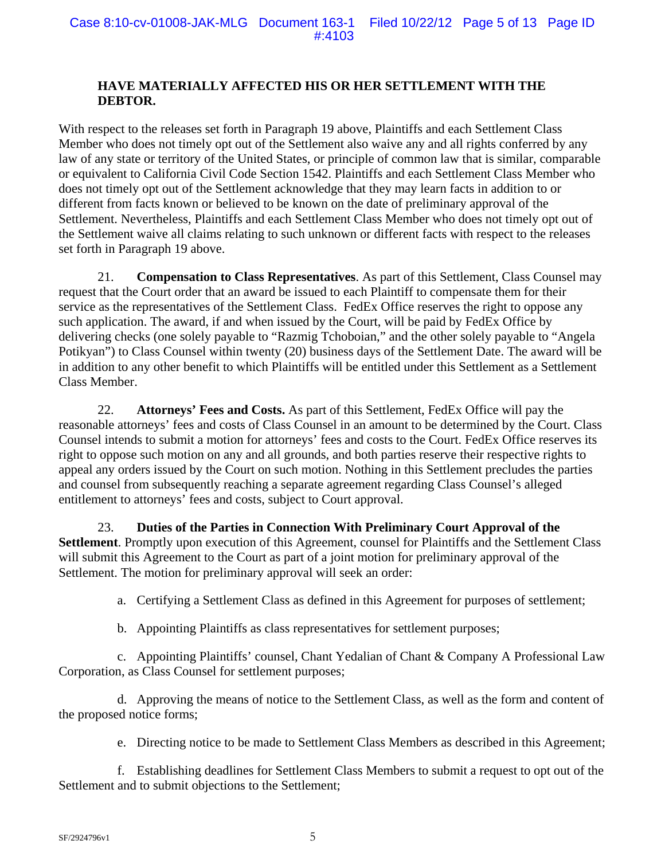# **HAVE MATERIALLY AFFECTED HIS OR HER SETTLEMENT WITH THE DEBTOR.**

With respect to the releases set forth in Paragraph 19 above, Plaintiffs and each Settlement Class Member who does not timely opt out of the Settlement also waive any and all rights conferred by any law of any state or territory of the United States, or principle of common law that is similar, comparable or equivalent to California Civil Code Section 1542. Plaintiffs and each Settlement Class Member who does not timely opt out of the Settlement acknowledge that they may learn facts in addition to or different from facts known or believed to be known on the date of preliminary approval of the Settlement. Nevertheless, Plaintiffs and each Settlement Class Member who does not timely opt out of the Settlement waive all claims relating to such unknown or different facts with respect to the releases set forth in Paragraph 19 above.

21. **Compensation to Class Representatives**. As part of this Settlement, Class Counsel may request that the Court order that an award be issued to each Plaintiff to compensate them for their service as the representatives of the Settlement Class. FedEx Office reserves the right to oppose any such application. The award, if and when issued by the Court, will be paid by FedEx Office by delivering checks (one solely payable to "Razmig Tchoboian," and the other solely payable to "Angela Potikyan") to Class Counsel within twenty (20) business days of the Settlement Date. The award will be in addition to any other benefit to which Plaintiffs will be entitled under this Settlement as a Settlement Class Member.

22. **Attorneys' Fees and Costs.** As part of this Settlement, FedEx Office will pay the reasonable attorneys' fees and costs of Class Counsel in an amount to be determined by the Court. Class Counsel intends to submit a motion for attorneys' fees and costs to the Court. FedEx Office reserves its right to oppose such motion on any and all grounds, and both parties reserve their respective rights to appeal any orders issued by the Court on such motion. Nothing in this Settlement precludes the parties and counsel from subsequently reaching a separate agreement regarding Class Counsel's alleged entitlement to attorneys' fees and costs, subject to Court approval.

23. **Duties of the Parties in Connection With Preliminary Court Approval of the Settlement**. Promptly upon execution of this Agreement, counsel for Plaintiffs and the Settlement Class will submit this Agreement to the Court as part of a joint motion for preliminary approval of the Settlement. The motion for preliminary approval will seek an order:

a. Certifying a Settlement Class as defined in this Agreement for purposes of settlement;

b. Appointing Plaintiffs as class representatives for settlement purposes;

c. Appointing Plaintiffs' counsel, Chant Yedalian of Chant & Company A Professional Law Corporation, as Class Counsel for settlement purposes;

d. Approving the means of notice to the Settlement Class, as well as the form and content of the proposed notice forms;

e. Directing notice to be made to Settlement Class Members as described in this Agreement;

f. Establishing deadlines for Settlement Class Members to submit a request to opt out of the Settlement and to submit objections to the Settlement;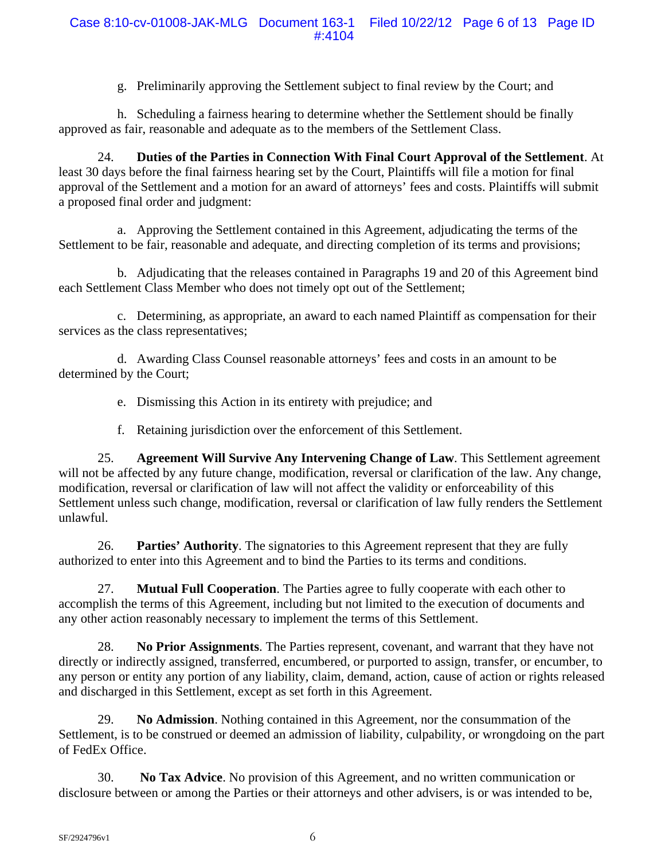g. Preliminarily approving the Settlement subject to final review by the Court; and

h. Scheduling a fairness hearing to determine whether the Settlement should be finally approved as fair, reasonable and adequate as to the members of the Settlement Class.

24. **Duties of the Parties in Connection With Final Court Approval of the Settlement**. At least 30 days before the final fairness hearing set by the Court, Plaintiffs will file a motion for final approval of the Settlement and a motion for an award of attorneys' fees and costs. Plaintiffs will submit a proposed final order and judgment:

a. Approving the Settlement contained in this Agreement, adjudicating the terms of the Settlement to be fair, reasonable and adequate, and directing completion of its terms and provisions;

b. Adjudicating that the releases contained in Paragraphs 19 and 20 of this Agreement bind each Settlement Class Member who does not timely opt out of the Settlement;

c. Determining, as appropriate, an award to each named Plaintiff as compensation for their services as the class representatives;

d. Awarding Class Counsel reasonable attorneys' fees and costs in an amount to be determined by the Court;

e. Dismissing this Action in its entirety with prejudice; and

f. Retaining jurisdiction over the enforcement of this Settlement.

25. **Agreement Will Survive Any Intervening Change of Law**. This Settlement agreement will not be affected by any future change, modification, reversal or clarification of the law. Any change, modification, reversal or clarification of law will not affect the validity or enforceability of this Settlement unless such change, modification, reversal or clarification of law fully renders the Settlement unlawful.

26. **Parties' Authority**. The signatories to this Agreement represent that they are fully authorized to enter into this Agreement and to bind the Parties to its terms and conditions.

27. **Mutual Full Cooperation**. The Parties agree to fully cooperate with each other to accomplish the terms of this Agreement, including but not limited to the execution of documents and any other action reasonably necessary to implement the terms of this Settlement.

28. **No Prior Assignments**. The Parties represent, covenant, and warrant that they have not directly or indirectly assigned, transferred, encumbered, or purported to assign, transfer, or encumber, to any person or entity any portion of any liability, claim, demand, action, cause of action or rights released and discharged in this Settlement, except as set forth in this Agreement.

29. **No Admission**. Nothing contained in this Agreement, nor the consummation of the Settlement, is to be construed or deemed an admission of liability, culpability, or wrongdoing on the part of FedEx Office.

30. **No Tax Advice**. No provision of this Agreement, and no written communication or disclosure between or among the Parties or their attorneys and other advisers, is or was intended to be,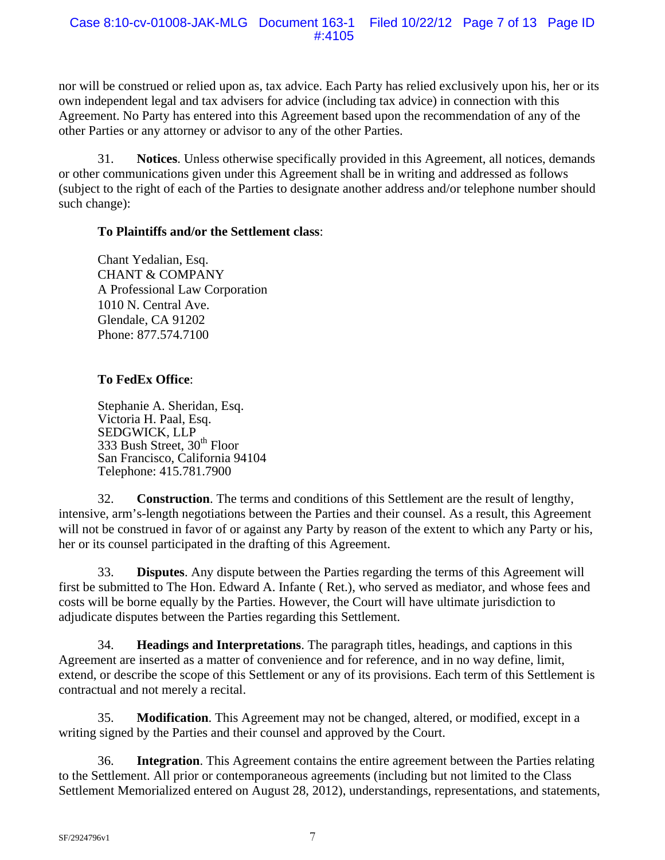nor will be construed or relied upon as, tax advice. Each Party has relied exclusively upon his, her or its own independent legal and tax advisers for advice (including tax advice) in connection with this Agreement. No Party has entered into this Agreement based upon the recommendation of any of the other Parties or any attorney or advisor to any of the other Parties.

31. **Notices**. Unless otherwise specifically provided in this Agreement, all notices, demands or other communications given under this Agreement shall be in writing and addressed as follows (subject to the right of each of the Parties to designate another address and/or telephone number should such change):

# **To Plaintiffs and/or the Settlement class**:

Chant Yedalian, Esq. CHANT & COMPANY A Professional Law Corporation 1010 N. Central Ave. Glendale, CA 91202 Phone: 877.574.7100

# **To FedEx Office**:

Stephanie A. Sheridan, Esq. Victoria H. Paal, Esq. SEDGWICK, LLP 333 Bush Street, 30<sup>th</sup> Floor San Francisco, California 94104 Telephone: 415.781.7900

32. **Construction**. The terms and conditions of this Settlement are the result of lengthy, intensive, arm's-length negotiations between the Parties and their counsel. As a result, this Agreement will not be construed in favor of or against any Party by reason of the extent to which any Party or his, her or its counsel participated in the drafting of this Agreement.

33. **Disputes**. Any dispute between the Parties regarding the terms of this Agreement will first be submitted to The Hon. Edward A. Infante ( Ret.), who served as mediator, and whose fees and costs will be borne equally by the Parties. However, the Court will have ultimate jurisdiction to adjudicate disputes between the Parties regarding this Settlement.

34. **Headings and Interpretations**. The paragraph titles, headings, and captions in this Agreement are inserted as a matter of convenience and for reference, and in no way define, limit, extend, or describe the scope of this Settlement or any of its provisions. Each term of this Settlement is contractual and not merely a recital.

35. **Modification**. This Agreement may not be changed, altered, or modified, except in a writing signed by the Parties and their counsel and approved by the Court.

36. **Integration**. This Agreement contains the entire agreement between the Parties relating to the Settlement. All prior or contemporaneous agreements (including but not limited to the Class Settlement Memorialized entered on August 28, 2012), understandings, representations, and statements,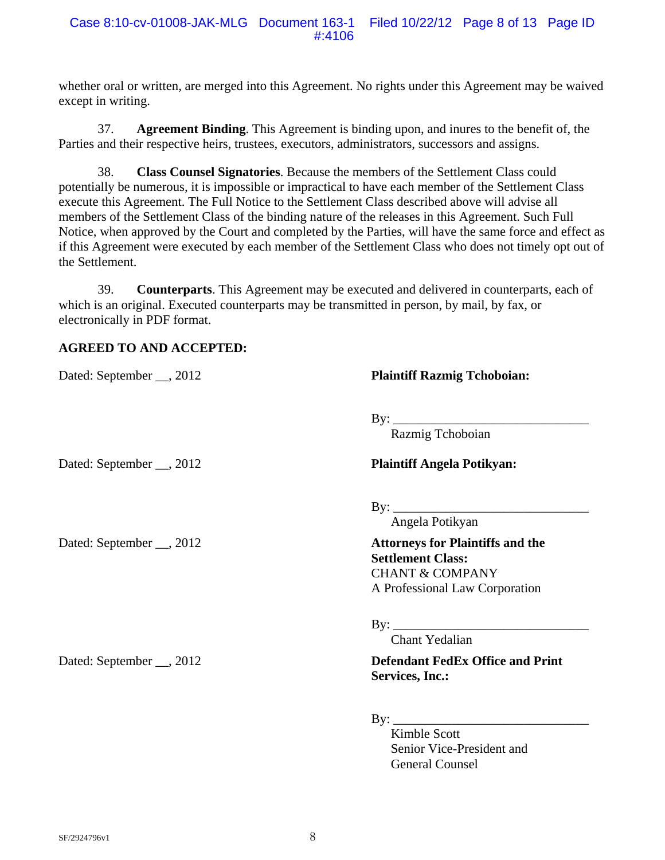whether oral or written, are merged into this Agreement. No rights under this Agreement may be waived except in writing.

37. **Agreement Binding**. This Agreement is binding upon, and inures to the benefit of, the Parties and their respective heirs, trustees, executors, administrators, successors and assigns.

38. **Class Counsel Signatories**. Because the members of the Settlement Class could potentially be numerous, it is impossible or impractical to have each member of the Settlement Class execute this Agreement. The Full Notice to the Settlement Class described above will advise all members of the Settlement Class of the binding nature of the releases in this Agreement. Such Full Notice, when approved by the Court and completed by the Parties, will have the same force and effect as if this Agreement were executed by each member of the Settlement Class who does not timely opt out of the Settlement.

39. **Counterparts**. This Agreement may be executed and delivered in counterparts, each of which is an original. Executed counterparts may be transmitted in person, by mail, by fax, or electronically in PDF format.

# **AGREED TO AND ACCEPTED:**

Dated: September \_\_, 2012 **Plaintiff Razmig Tchoboian:** 

By: \_\_\_\_\_\_\_\_\_\_\_\_\_\_\_\_\_\_\_\_\_\_\_\_\_\_\_\_\_\_

Razmig Tchoboian

## Dated: September \_\_, 2012 **Plaintiff Angela Potikyan:**

 $\mathbf{By:} \_\_\_\_\_\_\_\$ 

Angela Potikyan

Dated: September \_\_, 2012 **Attorneys for Plaintiffs and the Settlement Class:**  CHANT & COMPANY A Professional Law Corporation

By: \_\_\_\_\_\_\_\_\_\_\_\_\_\_\_\_\_\_\_\_\_\_\_\_\_\_\_\_\_\_

Chant Yedalian

Dated: September \_\_, 2012 **Defendant FedEx Office and Print Services, Inc.:** 

 $\mathbf{B}$ y:

 Kimble Scott Senior Vice-President and General Counsel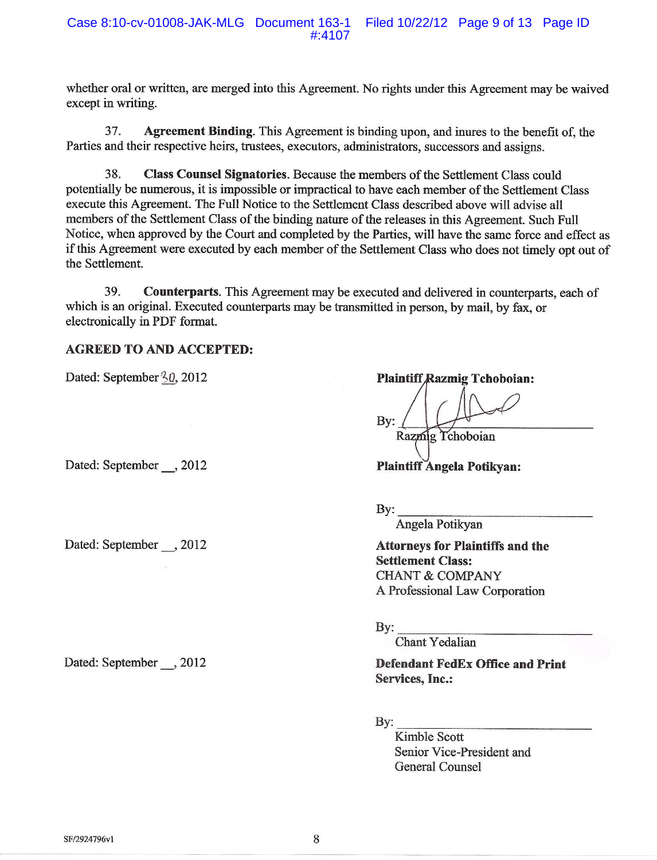whether oral or written, are merged into this Agreement. No rights under this Agreement may be waived except in writing.

37. Agreement Binding. This Agreement is binding upon, and inures to the benefit of, the Parties and their respective heirs, trustees, executors, administrators, successors and assigns.

38. Class Counsel Signatories. Because the members of the Settlement Class could potentially be numerous, it is impossible or impractical to have each member of the Settlement Class execute this Agreement. The Full Notice to the Settlement Class described above will advise all members of the Settlement Class of the binding nature of the releases in this Agreement. Such Full Notice, when approved by the Court and completed by the Parties, will have the same force and effect as if this Agreement were executed by each member of the Settlement Class who does not timely opt out of the Settlement.

39 **Counterparts.** This Agreement may be executed and delivered in counterparts, each of which is an original. Executed counterparts may be transmitted in person, by mail, by fax, or electronically in PDF format.

### **AGREED TO AND ACCEPTED:**

Dated: September 30, 2012

Dated: September , 2012

Dated: September , 2012

Dated: September , 2012

**Plaintiff Razmig Tchoboian:** 

By:

Razmig Tchoboian

**Plaintiff Angela Potikyan:** 

 $By:$ 

Angela Potikyan

**Attorneys for Plaintiffs and the Settlement Class: CHANT & COMPANY** A Professional Law Corporation

By:

Chant Yedalian

**Defendant FedEx Office and Print Services, Inc.:** 

 $By:$ 

Kimble Scott Senior Vice-President and General Counsel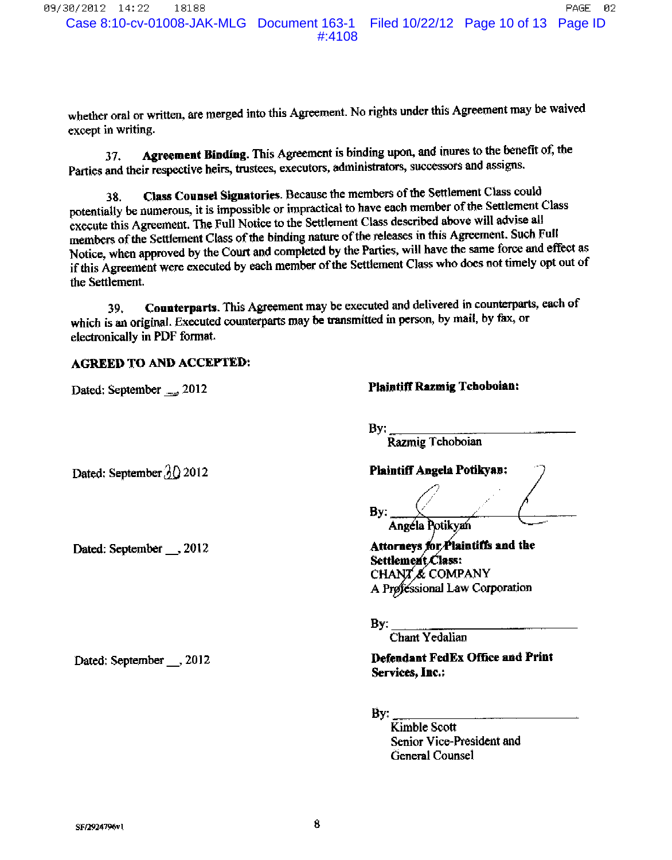PAGE Case 8:10-cv-01008-JAK-MLG Document 163-1 Filed 10/22/12 Page 10 of 13 Page ID

02

 $#:4108$ 

whether oral or written, are merged into this Agreement. No rights under this Agreement may be waived except in writing.

Agreement Binding. This Agreement is binding upon, and inures to the benefit of, the 37. Parties and their respective heirs, trustees, executors, administrators, successors and assigns.

Class Counsel Signatories. Because the members of the Settlement Class could 38. potentially be numerous, it is impossible or impractical to have each member of the Settlement Class execute this Agreement. The Full Notice to the Settlement Class described above will advise all members of the Settlement Class of the binding nature of the releases in this Agreement. Such Full Notice, when approved by the Court and completed by the Parties, will have the same force and effect as if this Agreement were executed by each member of the Settlement Class who does not timely opt out of the Settlement.

Counterparts. This Agreement may be executed and delivered in counterparts, each of 39. which is an original. Executed counterparts may be transmitted in person, by mail, by fax, or electronically in PDF format.

### **AGREED TO AND ACCEPTED:**

Dated: September \_\_\_, 2012

Dated: September  $\partial\Omega$  2012

Dated: September \_\_ , 2012

Dated: September \_\_ , 2012

**Plaintiff Razmig Tchoboian:** 

By: Razmig Tchoboian

**Plaintiff Angela Potikyan:** 

By:

Angéla Potikyan

Attorneys for Plaintiffs and the Settlement Class: CHANT & COMPANY A Professional Law Corporation

By:

Chant Yedalian

**Defendant FedEx Office and Print** Services. Inc.:

By:

Kimble Scott Senior Vice-President and General Counsel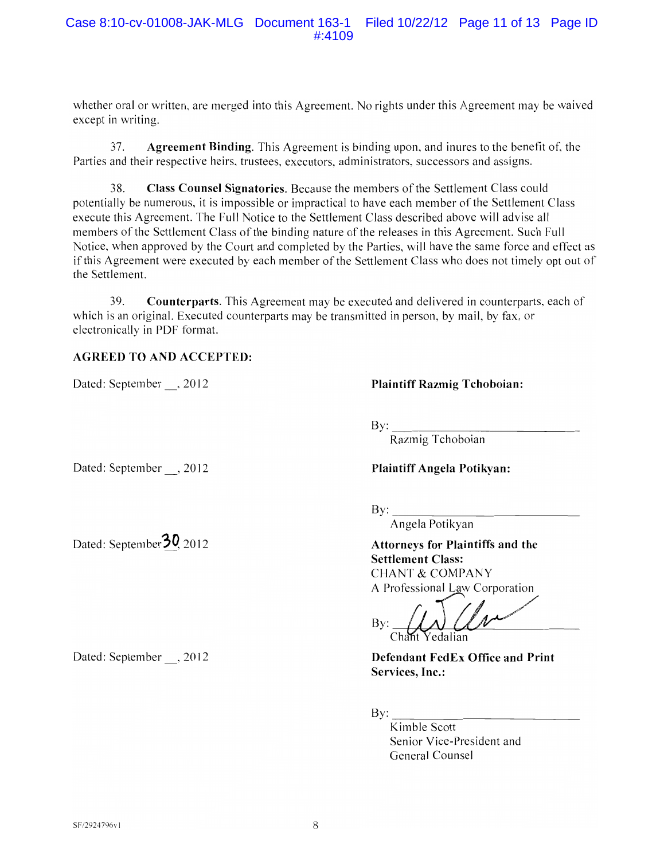whether oral or written, are merged into this Agreement. No rights under this Agreement may be waived except in writing.

 $37<sub>1</sub>$ **Agreement Binding.** This Agreement is binding upon, and inures to the benefit of, the Parties and their respective heirs, trustees, executors, administrators, successors and assigns.

38. Class Counsel Signatories. Because the members of the Settlement Class could potentially be numerous, it is impossible or impractical to have each member of the Settlement Class execute this Agreement. The Full Notice to the Settlement Class described above will advise all members of the Settlement Class of the binding nature of the releases in this Agreement. Such Full Notice, when approved by the Court and completed by the Parties, will have the same force and effect as if this Agreement were executed by each member of the Settlement Class who does not timely opt out of the Settlement.

39. **Counterparts.** This Agreement may be executed and delivered in counterparts, each of which is an original. Executed counterparts may be transmitted in person, by mail, by fax, or electronically in PDF format.

## **AGREED TO AND ACCEPTED:**

Dated: September , 2012

**Plaintiff Razmig Tchoboian:** 

 $By:$ 

Razmig Tchoboian

Dated: September , 2012

Dated: September 30, 2012

Dated: September , 2012

**Plaintiff Angela Potikvan:** 

 $\overline{By}$ :

Angela Potikyan

**Attorneys for Plaintiffs and the Settlement Class: CHANT & COMPANY** A Professional Law Corporation

By: Chant Yedalian

**Defendant FedEx Office and Print** Services. Inc.:

 $Bv:$ 

Kimble Scott Senior Vice-President and General Counsel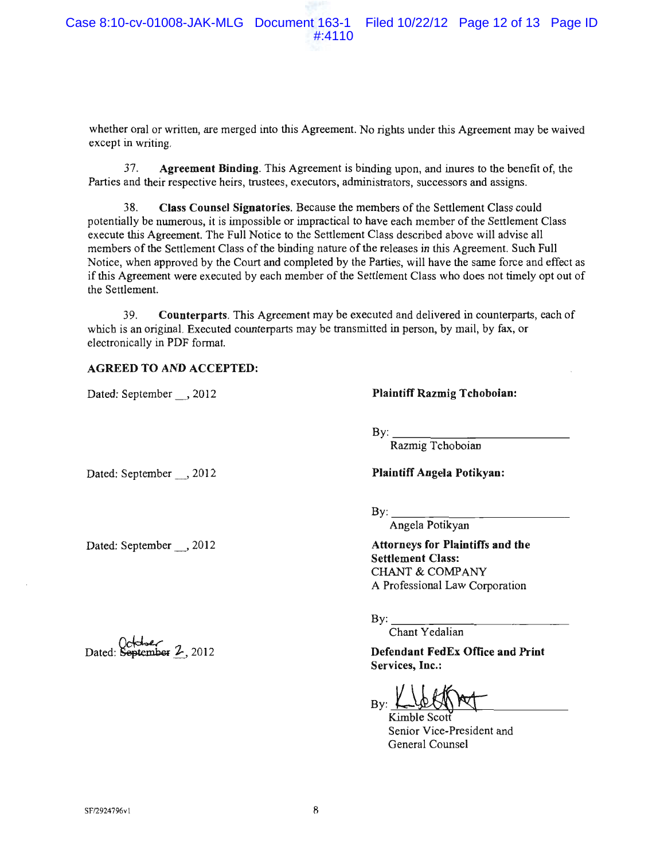whether oral or written, are merged into this Agreement. No rights under this Agreement may be waived except in writing.

37. Agreement Binding. This Agreement is binding upon, and inures to the benefit of, the Parties and their respective heirs, trustees, executors, administrators, successors and assigns.

38. Class Counsel Signatories. Because the members of the Settlement Class could potentially be numerous, it is impossible or impractical to have each member of the Settlement Class execute this Agreement. The Full Notice to the Settlement Class described above will advise all members of the Settlement Class of the binding nature of the releases in this Agreement. Such Full Notice, when approved by the Court and completed by the Parties, will have the same force and effect as if this Agreement were executed by each member of the Settlement Class who does not timely opt out of the Settlement.

39. **Counterparts.** This Agreement may be executed and delivered in counterparts, each of which is an original. Executed counterparts may be transmitted in person, by mail, by fax, or electronically in PDF format.

#### **AGREED TO AND ACCEPTED:**

Dated: September , 2012

Dated: September \_\_, 2012

Dated: September , 2012

Dated: September 2, 2012

**Plaintiff Razmig Tchoboian:** 

By:

Razmig Tchoboian

**Plaintiff Angela Potikyan:** 

 $\mathbf{By:}$ 

Angela Potikyan

**Attorneys for Plaintiffs and the Settlement Class: CHANT & COMPANY** A Professional Law Corporation

 $Bv:$ 

Chant Yedalian

**Defendant FedEx Office and Print** Services, Inc.:

 $Bv:$ Kimble Scott

Senior Vice-President and General Counsel

SF/2924796v1